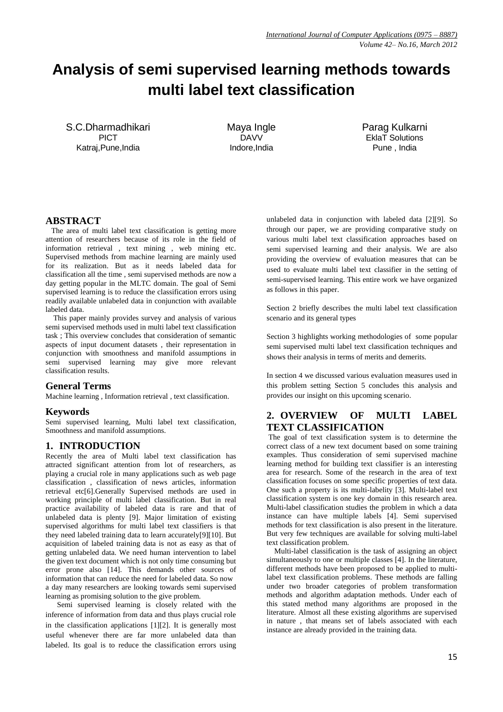# **Analysis of semi supervised learning methods towards multi label text classification**

S.C.Dharmadhikari PICT Katraj,Pune,India

Maya Ingle DAVV Indore,India

Parag Kulkarni EklaT Solutions Pune , India

# **ABSTRACT**

 The area of multi label text classification is getting more attention of researchers because of its role in the field of information retrieval , text mining , web mining etc. Supervised methods from machine learning are mainly used for its realization. But as it needs labeled data for classification all the time , semi supervised methods are now a day getting popular in the MLTC domain. The goal of Semi supervised learning is to reduce the classification errors using readily available unlabeled data in conjunction with available labeled data.

 This paper mainly provides survey and analysis of various semi supervised methods used in multi label text classification task ; This overview concludes that consideration of semantic aspects of input document datasets , their representation in conjunction with smoothness and manifold assumptions in semi supervised learning may give more relevant classification results.

### **General Terms**

Machine learning , Information retrieval , text classification.

### **Keywords**

Semi supervised learning, Multi label text classification, Smoothness and manifold assumptions.

### **1. INTRODUCTION**

Recently the area of Multi label text classification has attracted significant attention from lot of researchers, as playing a crucial role in many applications such as web page classification , classification of news articles, information retrieval etc[6].Generally Supervised methods are used in working principle of multi label classification. But in real practice availability of labeled data is rare and that of unlabeled data is plenty [9]. Major limitation of existing supervised algorithms for multi label text classifiers is that they need labeled training data to learn accurately[9][10]. But acquisition of labeled training data is not as easy as that of getting unlabeled data. We need human intervention to label the given text document which is not only time consuming but error prone also [14]. This demands other sources of information that can reduce the need for labeled data. So now a day many researchers are looking towards semi supervised learning as promising solution to the give problem.

 Semi supervised learning is closely related with the inference of information from data and thus plays crucial role in the classification applications [1][2]. It is generally most useful whenever there are far more unlabeled data than labeled. Its goal is to reduce the classification errors using

unlabeled data in conjunction with labeled data [2][9]. So through our paper, we are providing comparative study on various multi label text classification approaches based on semi supervised learning and their analysis. We are also providing the overview of evaluation measures that can be used to evaluate multi label text classifier in the setting of semi-supervised learning. This entire work we have organized as follows in this paper.

Section 2 briefly describes the multi label text classification scenario and its general types

Section 3 highlights working methodologies of some popular semi supervised multi label text classification techniques and shows their analysis in terms of merits and demerits.

In section 4 we discussed various evaluation measures used in this problem setting Section 5 concludes this analysis and provides our insight on this upcoming scenario.

# **2. OVERVIEW OF MULTI LABEL TEXT CLASSIFICATION**

The goal of text classification system is to determine the correct class of a new text document based on some training examples. Thus consideration of semi supervised machine learning method for building text classifier is an interesting area for research. Some of the research in the area of text classification focuses on some specific properties of text data. One such a property is its multi-labelity [3]*.* Multi-label text classification system is one key domain in this research area. Multi-label classification studies the problem in which a data instance can have multiple labels [4]. Semi supervised methods for text classification is also present in the literature. But very few techniques are available for solving multi-label text classification problem.

 Multi-label classification is the task of assigning an object simultaneously to one or multiple classes [4]. In the literature, different methods have been proposed to be applied to multilabel text classification problems. These methods are falling under two broader categories of problem transformation methods and algorithm adaptation methods. Under each of this stated method many algorithms are proposed in the literature. Almost all these existing algorithms are supervised in nature , that means set of labels associated with each instance are already provided in the training data.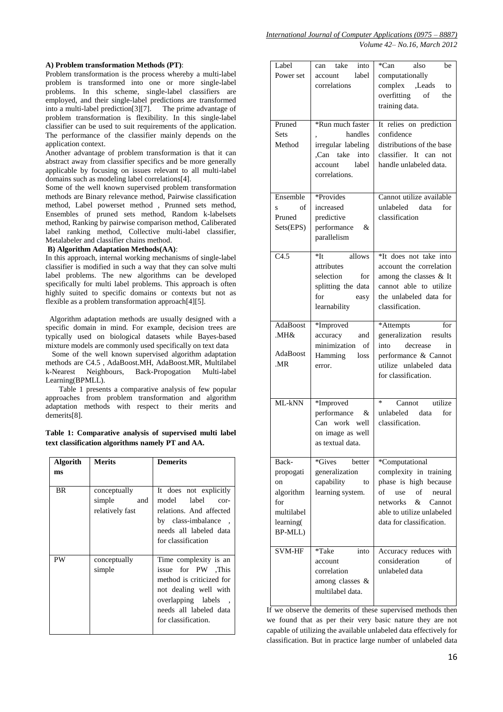#### **A) Problem transformation Methods (PT)**:

Problem transformation is the process whereby a multi-label problem is transformed into one or more single-label problems. In this scheme, single-label classifiers are employed, and their single-label predictions are transformed into a multi-label prediction[3][7]. The prime advantage of problem transformation is flexibility. In this single-label classifier can be used to suit requirements of the application. The performance of the classifier mainly depends on the application context.

Another advantage of problem transformation is that it can abstract away from classifier specifics and be more generally applicable by focusing on issues relevant to all multi-label domains such as modeling label correlations[4].

Some of the well known supervised problem transformation methods are Binary relevance method, Pairwise classification method, Label powerset method , Prunned sets method, Ensembles of pruned sets method, Random k-labelsets method, Ranking by pairwise comparison method, Caliberated label ranking method, Collective multi-label classifier, Metalabeler and classifier chains method.

#### **B) Algorithm Adaptation Methods(AA)**:

In this approach, internal working mechanisms of single-label classifier is modified in such a way that they can solve multi label problems. The new algorithms can be developed specifically for multi label problems. This approach is often highly suited to specific domains or contexts but not as flexible as a problem transformation approach[4][5].

 Algorithm adaptation methods are usually designed with a specific domain in mind. For example, decision trees are typically used on biological datasets while Bayes-based mixture models are commonly used specifically on text data

 Some of the well known supervised algorithm adaptation methods are C4.5 , AdaBoost.MH, AdaBoost.MR, Multilabel k-Nearest Neighbours, Back-Propogation Multi-label Learning(BPMLL).

 Table 1 presents a comparative analysis of few popular approaches from problem transformation and algorithm adaptation methods with respect to their merits and demerits[8].

**Table 1: Comparative analysis of supervised multi label text classification algorithms namely PT and AA.**

| <b>Algorith</b><br>ms | <b>Merits</b>                                 | <b>Demerits</b>                                                                                                                                                         |
|-----------------------|-----------------------------------------------|-------------------------------------------------------------------------------------------------------------------------------------------------------------------------|
| <b>BR</b>             | conceptually<br>simple and<br>relatively fast | It does not explicitly<br>model label cor-<br>relations. And affected<br>by class-imbalance,<br>needs all labeled data<br>for classification                            |
| PW                    | conceptually<br>simple                        | Time complexity is an<br>issue for PW This<br>method is criticized for<br>not dealing well with<br>overlapping labels,<br>needs all labeled data<br>for classification. |

| Label<br>Power set                                                                 | can take<br>into<br>label<br>account                                                                       | *Can<br>also<br>be<br>computationally                                                                                                                                              |
|------------------------------------------------------------------------------------|------------------------------------------------------------------------------------------------------------|------------------------------------------------------------------------------------------------------------------------------------------------------------------------------------|
|                                                                                    | correlations                                                                                               | complex , Leads<br>to<br>overfitting<br>of<br>the<br>training data.                                                                                                                |
| Pruned<br><b>Sets</b><br>Method                                                    | *Run much faster<br>handles<br>irregular labeling<br>Can take<br>into<br>label<br>account<br>correlations. | It relies on prediction<br>confidence<br>distributions of the base<br>classifier. It can not<br>handle unlabeled data.                                                             |
| Ensemble<br>of<br>S<br>Pruned<br>Sets(EPS)                                         | *Provides<br>increased<br>predictive<br>performance<br>&<br>parallelism                                    | Cannot utilize available<br>unlabeled data<br>for<br>classification                                                                                                                |
| C4.5                                                                               | *Tt<br>allows<br>attributes<br>selection<br>for<br>splitting the data<br>for<br>easy<br>learnability       | *It does not take into<br>account the correlation<br>among the classes & It<br>cannot able to utilize<br>the unlabeled data for<br>classification.                                 |
| AdaBoost<br>MH&.<br>AdaBoost<br>.MR                                                | *Improved<br>accuracy<br>and<br>minimization of<br>Hamming<br>loss<br>error.                               | *Attempts<br>for<br>generalization results<br>into decrease<br>in<br>performance & Cannot<br>utilize unlabeled data<br>for classification.                                         |
| ML-kNN                                                                             | *Improved<br>performance<br>&<br>Can work well<br>on image as well<br>as textual data.                     | $\ast$<br>utilize<br>Cannot<br>unlabeled data<br>for<br>classification.                                                                                                            |
| Back-<br>propogati<br>on<br>algorithm<br>for<br>multilabel<br>learning(<br>BP-MLL) | *Gives<br>better<br>generalization<br>capability<br>to<br>learning system.                                 | *Computational<br>complexity in training<br>phase is high because<br>of<br>of<br>use<br>neural<br>&<br>networks<br>Cannot<br>able to utilize unlabeled<br>data for classification. |
| <b>SVM-HF</b>                                                                      | *Take<br>into<br>account<br>correlation<br>among classes &<br>multilabel data.                             | Accuracy reduces with<br>consideration<br>of<br>unlabeled data                                                                                                                     |

If we observe the demerits of these supervised methods then we found that as per their very basic nature they are not capable of utilizing the available unlabeled data effectively for classification. But in practice large number of unlabeled data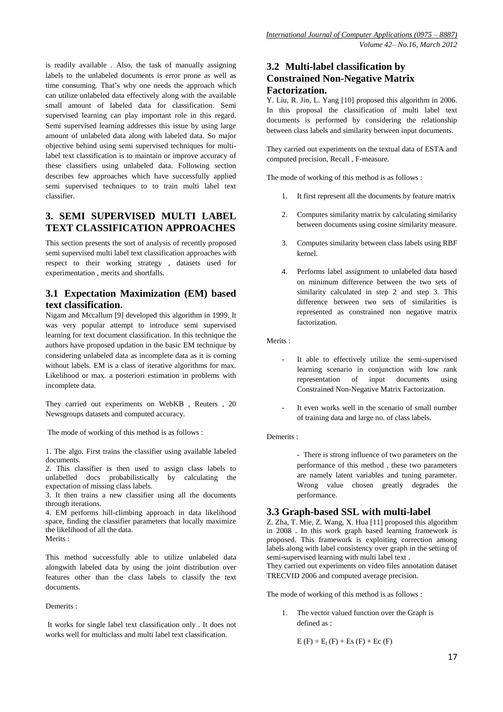is readily available . Also, the task of manually assigning labels to the unlabeled documents is error prone as well as time consuming. That's why one needs the approach which can utilize unlabeled data effectively along with the available small amount of labeled data for classification. Semi supervised learning can play important role in this regard. Semi supervised learning addresses this issue by using large amount of unlabeled data along with labeled data. So major objective behind using semi supervised techniques for multilabel text classification is to maintain or improve accuracy of these classifiers using unlabeled data. Following section describes few approaches which have successfully applied semi supervised techniques to to train multi label text classifier.

# **3. SEMI SUPERVISED MULTI LABEL TEXT CLASSIFICATION APPROACHES**

This section presents the sort of analysis of recently proposed semi supervised multi label text classification approaches with respect to their working strategy , datasets used for experimentation , merits and shortfalls.

# **3.1 Expectation Maximization (EM) based text classification.**

Nigam and Mccallum [9] developed this algorithm in 1999. It was very popular attempt to introduce semi supervised learning for text document classification. In this technique the authors have proposed updation in the basic EM technique by considering unlabeled data as incomplete data as it is coming without labels. EM is a class of iterative algorithms for max. Likelihood or max. a posteriori estimation in problems with incomplete data.

They carried out experiments on WebKB , Reuters , 20 Newsgroups datasets and computed accuracy.

The mode of working of this method is as follows :

1. The algo. First trains the classifier using available labeled documents.

2. This classifier is then used to assign class labels to unlabelled docs probabilistically by calculating the expectation of missing class labels.

3. It then trains a new classifier using all the documents through iterations.

4. EM performs hill-climbing approach in data likelihood space, finding the classifier parameters that locally maximize the likelihood of all the data.

Merits :

This method successfully able to utilize unlabeled data alongwith labeled data by using the joint distribution over features other than the class labels to classify the text documents.

Demerits ·

It works for single label text classification only . It does not works well for multiclass and multi label text classification.

# **3.2 Multi-label classification by Constrained Non-Negative Matrix Factorization.**

Y. Liu, R. Jin, L. Yang [10] proposed this algorithm in 2006. In this proposal the classification of multi label text documents is performed by considering the relationship between class labels and similarity between input documents.

They carried out experiments on the textual data of ESTA and computed precision, Recall , F-measure.

The mode of working of this method is as follows :

- 1. It first represent all the documents by feature matrix
- 2. Computes similarity matrix by calculating similarity between documents using cosine similarity measure.
- 3. Computes similarity between class labels using RBF kernel.
- 4. Performs label assignment to unlabeled data based on minimum difference between the two sets of similarity calculated in step 2 and step 3. This difference between two sets of similarities is represented as constrained non negative matrix factorization.

Merits ·

- It able to effectively utilize the semi-supervised learning scenario in conjunction with low rank representation of input documents using Constrained Non-Negative Matrix Factorization.
- It even works well in the scenario of small number of training data and large no. of class labels.

### Demerits :

- There is strong influence of two parameters on the performance of this method , these two parameters are namely latent variables and tuning parameter. Wrong value chosen greatly degrades the performance.

# **3.3 Graph-based SSL with multi-label**

Z. Zha, T. Mie, Z. Wang, X. Hua [11] proposed this algorithm in 2008 . In this work graph based learning framework is proposed. This framework is exploiting correction among labels along with label consistency over graph in the setting of semi-supervised learning with multi label text .

They carried out experiments on video files annotation dataset TRECVID 2006 and computed average precision.

The mode of working of this method is as follows :

1. The vector valued function over the Graph is defined as :

```
E(F) = E_1(F) + Es(F) + Ec(F)
```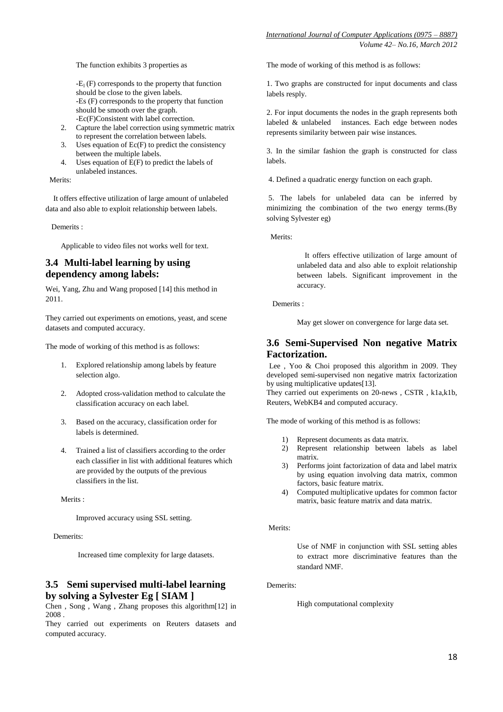The function exhibits 3 properties as

 $-E_1$  (F) corresponds to the property that function should be close to the given labels. -Es (F) corresponds to the property that function should be smooth over the graph. -Ec(F)Consistent with label correction.

- 2. Capture the label correction using symmetric matrix to represent the correlation between labels.
- 3. Uses equation of Ec(F) to predict the consistency between the multiple labels.
- 4. Uses equation of E(F) to predict the labels of unlabeled instances.

Merits:

 It offers effective utilization of large amount of unlabeled data and also able to exploit relationship between labels.

Demerits :

Applicable to video files not works well for text.

# **3.4 Multi-label learning by using dependency among labels:**

Wei, Yang, Zhu and Wang proposed [14] this method in 2011.

They carried out experiments on emotions, yeast, and scene datasets and computed accuracy.

The mode of working of this method is as follows:

- 1. Explored relationship among labels by feature selection algo.
- 2. Adopted cross-validation method to calculate the classification accuracy on each label.
- 3. Based on the accuracy, classification order for labels is determined.
- 4. Trained a list of classifiers according to the order each classifier in list with additional features which are provided by the outputs of the previous classifiers in the list.

Merits :

Improved accuracy using SSL setting.

Demerits:

Increased time complexity for large datasets.

# **3.5 Semi supervised multi-label learning by solving a Sylvester Eg [ SIAM ]**

Chen , Song , Wang , Zhang proposes this algorithm[12] in  $\boldsymbol{2008}$  .

They carried out experiments on Reuters datasets and computed accuracy.

The mode of working of this method is as follows:

1. Two graphs are constructed for input documents and class labels resply.

2. For input documents the nodes in the graph represents both labeled & unlabeled instances. Each edge between nodes represents similarity between pair wise instances.

3. In the similar fashion the graph is constructed for class labels.

4. Defined a quadratic energy function on each graph.

5. The labels for unlabeled data can be inferred by minimizing the combination of the two energy terms.(By solving Sylvester eg)

Merits:

 It offers effective utilization of large amount of unlabeled data and also able to exploit relationship between labels. Significant improvement in the accuracy.

Demerits :

May get slower on convergence for large data set.

# **3.6 Semi-Supervised Non negative Matrix Factorization.**

Lee , Yoo & Choi proposed this algorithm in 2009. They developed semi-supervised non negative matrix factorization by using multiplicative updates[13].

They carried out experiments on 20-news , CSTR , k1a,k1b, Reuters, WebKB4 and computed accuracy.

The mode of working of this method is as follows:

- 1) Represent documents as data matrix.
- 2) Represent relationship between labels as label matrix.
- 3) Performs joint factorization of data and label matrix by using equation involving data matrix, common factors, basic feature matrix.
- 4) Computed multiplicative updates for common factor matrix, basic feature matrix and data matrix.

Merits:

Use of NMF in conjunction with SSL setting ables to extract more discriminative features than the standard NMF.

Demerits:

High computational complexity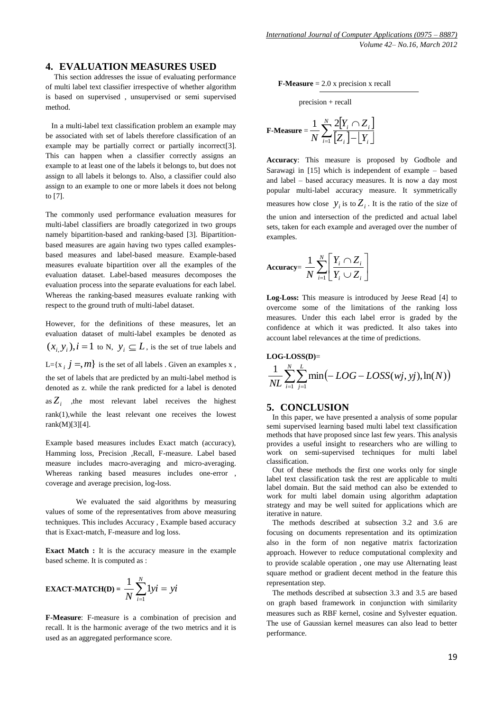### **4. EVALUATION MEASURES USED**

 This section addresses the issue of evaluating performance of multi label text classifier irrespective of whether algorithm is based on supervised , unsupervised or semi supervised method.

 In a multi-label text classification problem an example may be associated with set of labels therefore classification of an example may be partially correct or partially incorrect[3]. This can happen when a classifier correctly assigns an example to at least one of the labels it belongs to, but does not assign to all labels it belongs to. Also, a classifier could also assign to an example to one or more labels it does not belong to [7].

The commonly used performance evaluation measures for multi-label classifiers are broadly categorized in two groups namely bipartition-based and ranking-based [3]. Bipartitionbased measures are again having two types called examplesbased measures and label-based measure. Example-based measures evaluate bipartition over all the examples of the evaluation dataset. Label-based measures decomposes the evaluation process into the separate evaluations for each label. Whereas the ranking-based measures evaluate ranking with respect to the ground truth of multi-label dataset.

However, for the definitions of these measures, let an evaluation dataset of multi-label examples be denoted as  $(x_i, y_i)$ ,  $i = 1$  to N,  $y_i \subseteq L$ , is the set of true labels and L={ $x$  *i*  $j = m$ } is the set of all labels . Given an examples x, the set of labels that are predicted by an multi-label method is denoted as z. while the rank predicted for a label is denoted as  $Z_i$ , the most relevant label receives the highest rank(1),while the least relevant one receives the lowest rank(M)[3][4].

Example based measures includes Exact match (accuracy), Hamming loss, Precision ,Recall, F-measure. Label based measure includes macro-averaging and micro-averaging. Whereas ranking based measures includes one-error , coverage and average precision, log-loss.

We evaluated the said algorithms by measuring values of some of the representatives from above measuring techniques. This includes Accuracy , Example based accuracy that is Exact-match, F-measure and log loss.

**Exact Match :** It is the accuracy measure in the example based scheme. It is computed as :

**EXAMPLE 2** 
$$
\mathbf{EXACT\text{-}MATCH(D)} = \frac{1}{N} \sum_{i=1}^{N} 1yi = yi
$$

**F-Measure**: F-measure is a combination of precision and recall. It is the harmonic average of the two metrics and it is used as an aggregated performance score.

**F-Measure** = 2.0 x precision x recall

precision + recall

$$
\textbf{F-Measure} = \frac{1}{N} \sum_{i=1}^{N} \frac{2[Y_i \cap Z_i]}{[Z_i] - [Y_i]}
$$

**Accuracy**: This measure is proposed by Godbole and Sarawagi in [15] which is independent of example – based and label – based accuracy measures. It is now a day most popular multi-label accuracy measure. It symmetrically measures how close  $y_i$  is to  $Z_i$ . It is the ratio of the size of the union and intersection of the predicted and actual label sets, taken for each example and averaged over the number of examples.

$$
\text{Accuracy} = \frac{1}{N} \sum_{i=1}^{N} \left[ \frac{Y_i \cap Z_i}{Y_i \cup Z_i} \right]
$$

**Log-Loss:** This measure is introduced by Jeese Read [4] to overcome some of the limitations of the ranking loss measures. Under this each label error is graded by the confidence at which it was predicted. It also takes into account label relevances at the time of predictions.

$$
\text{LOG-LOSSD}= \frac{1}{NL} \sum_{i=1}^{N} \sum_{j=1}^{L} \min(-LOG - LOSS(wj, yj), \ln(N))
$$

### **5. CONCLUSION**

 In this paper, we have presented a analysis of some popular semi supervised learning based multi label text classification methods that have proposed since last few years. This analysis provides a useful insight to researchers who are willing to work on semi-supervised techniques for multi label classification.

 Out of these methods the first one works only for single label text classification task the rest are applicable to multi label domain. But the said method can also be extended to work for multi label domain using algorithm adaptation strategy and may be well suited for applications which are iterative in nature.

 The methods described at subsection 3.2 and 3.6 are focusing on documents representation and its optimization also in the form of non negative matrix factorization approach. However to reduce computational complexity and to provide scalable operation , one may use Alternating least square method or gradient decent method in the feature this representation step.

 The methods described at subsection 3.3 and 3.5 are based on graph based framework in conjunction with similarity measures such as RBF kernel, cosine and Sylvester equation. The use of Gaussian kernel measures can also lead to better performance.